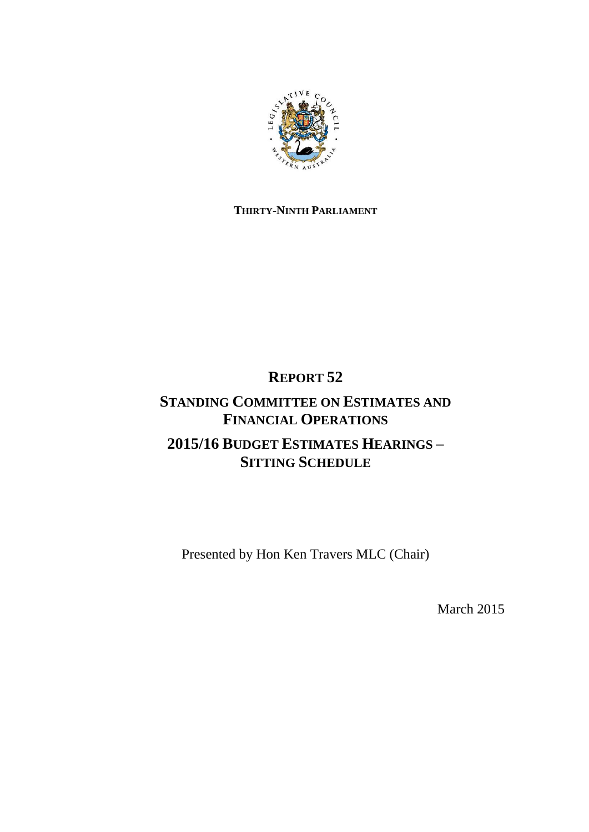

## **THIRTY-NINTH PARLIAMENT**

# **REPORT 52**

# **STANDING COMMITTEE ON ESTIMATES AND FINANCIAL OPERATIONS 2015/16 BUDGET ESTIMATES HEARINGS – SITTING SCHEDULE**

Presented by Hon Ken Travers MLC (Chair)

March 2015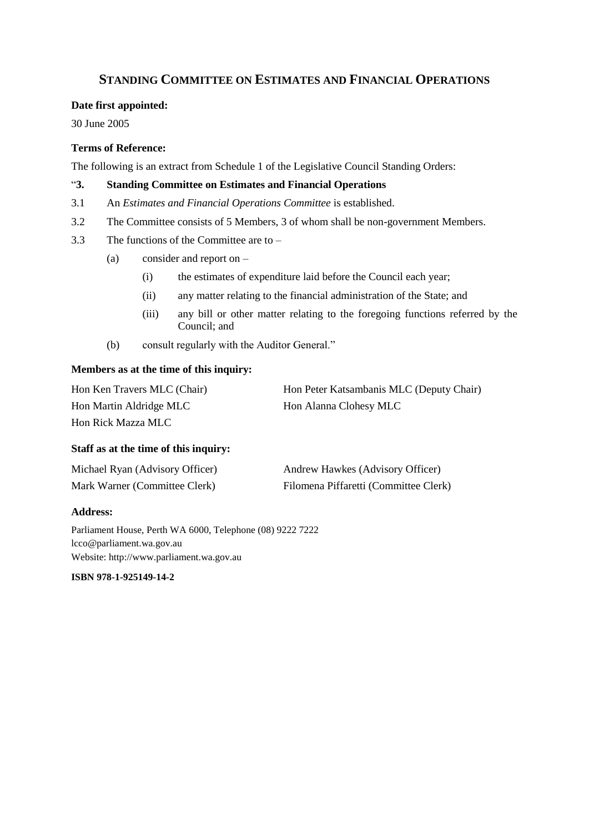## **STANDING COMMITTEE ON ESTIMATES AND FINANCIAL OPERATIONS**

#### **Date first appointed:**

30 June 2005

### **Terms of Reference:**

The following is an extract from Schedule 1 of the Legislative Council Standing Orders:

### "**3. Standing Committee on Estimates and Financial Operations**

- 3.1 An *Estimates and Financial Operations Committee* is established.
- 3.2 The Committee consists of 5 Members, 3 of whom shall be non-government Members.
- 3.3 The functions of the Committee are to
	- (a) consider and report on
		- (i) the estimates of expenditure laid before the Council each year;
		- (ii) any matter relating to the financial administration of the State; and
		- (iii) any bill or other matter relating to the foregoing functions referred by the Council; and
	- (b) consult regularly with the Auditor General."

#### **Members as at the time of this inquiry:**

Hon Ken Travers MLC (Chair) Hon Peter Katsambanis MLC (Deputy Chair) Hon Martin Aldridge MLC Hon Alanna Clohesy MLC Hon Rick Mazza MLC

### **Staff as at the time of this inquiry:**

| Michael Ryan (Advisory Officer) | Andrew Hawkes (Advisory Officer)      |
|---------------------------------|---------------------------------------|
| Mark Warner (Committee Clerk)   | Filomena Piffaretti (Committee Clerk) |

### **Address:**

Parliament House, Perth WA 6000, Telephone (08) 9222 7222 lcco@parliament.wa.gov.au Website: http://www.parliament.wa.gov.au

**ISBN 978-1-925149-14-2**